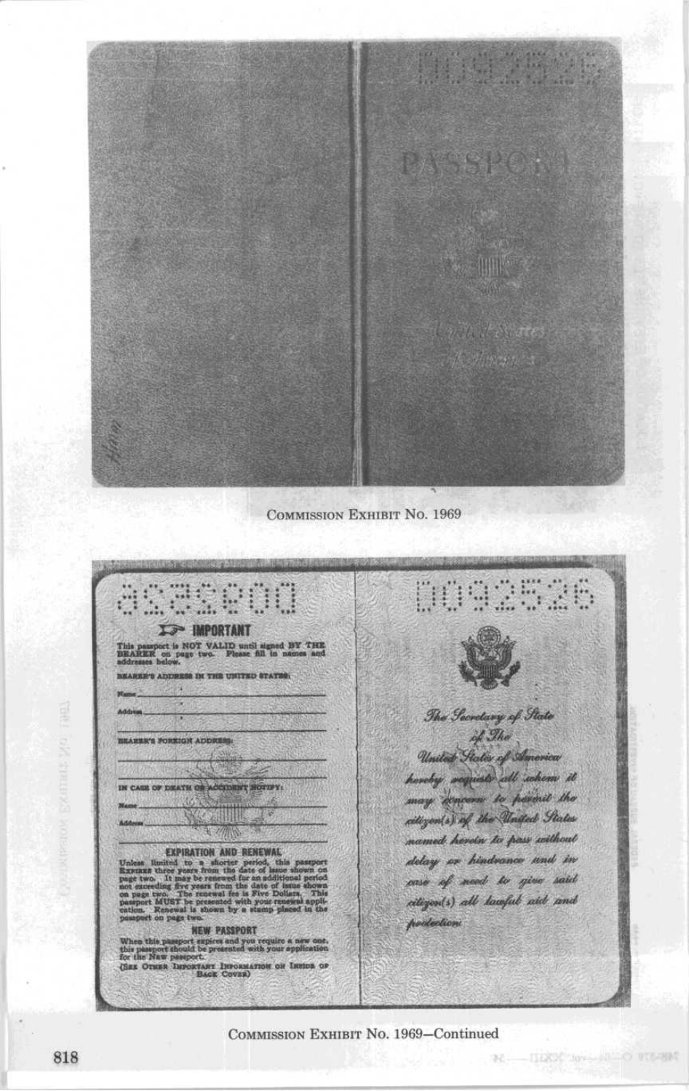

**COMMISSION EXHIBIT NO. 1969** 

32520 **WEBURG**  $\mathbf{H}$ **IS IMPORTANT** passport is NOT VALID until signed BY THE RER on page two. Please fill in names and **CONTATS GRITING SHE WARRENGE** 移動 ε The George of State of The BEARER'S FOREIGN ADDRESS United States of America haveby weginst all whom it IN CASE OF DEATH OR ACCIDENT HOTOPY. may amoun to parmit the WATER citizen(s) of the United States 屖 named herein to pass without **EXPIRATION AND RENEWAL**<br>limited to a shorter period, the<br>three years from the date of issue delay or hindrance und in oase of need to give said from the west feel citizen(s) all lawful aid and **MUST** be press protection **NEW PASSPORT** When this passport support and you require a new one,<br>this passport support model by pour spplication<br>for the Naw passport.<br>GER OTHER DEPOIRT INFORMATION OF JUDIOR OF SALE COVER

COMMISSION EXHIBIT No. 1969-Continued

**NE HIGH AVENUE O STEERS**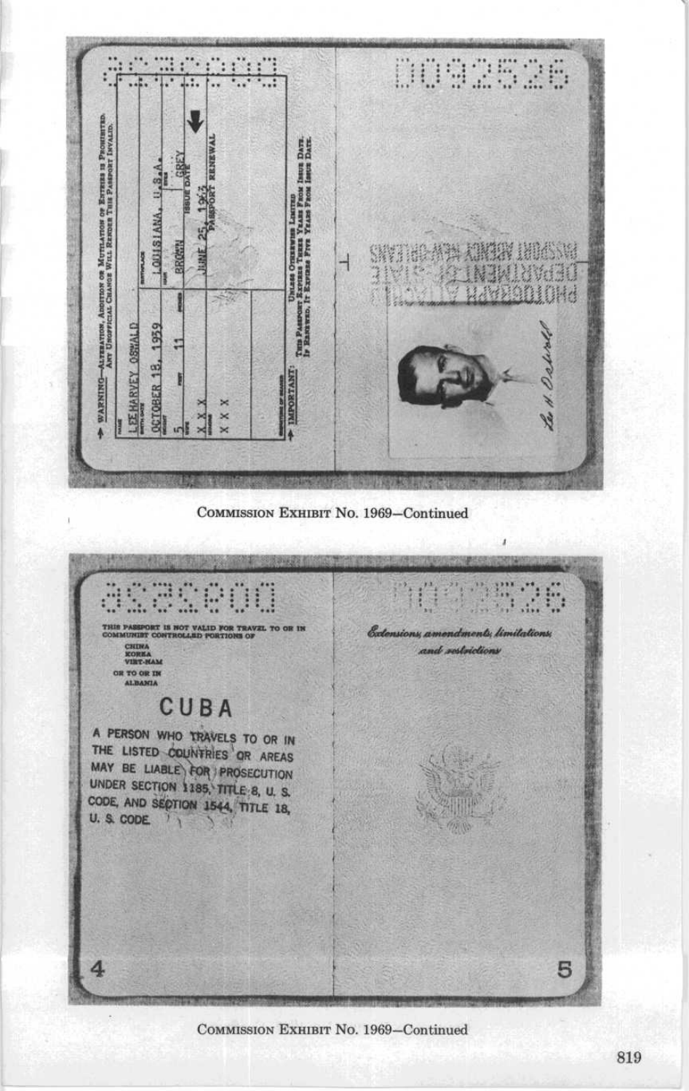<u>Kachego</u> 0092526 J Алтиантов, Апоннок ов Метналюе ов Езгииз и Римнитар.<br>Are Uscovicial Chasce With Ravers This Passport Isvand. Unicas Oriento Haures Neuron Lines<br>Tum Passoor: Expinsi Tizza Yaasa Paok Issua Dava.<br>Iy Ramawao, It Expinse Pres Yaasa Paok Issua Dava. LOUISIANA. SWINDADA XIMOR INIANA **BROW BRYWHACH**  $\overline{1}$ **Tain** VRADIOHA **Read LEE HARVEY OSWALD DCTOBER 18, 1959** H. Oshire п **IMPORTANT** WARNINGŀ  $\times$  $\overline{\times}$ ×  $\sqrt{5}$ 5  $\overline{\mathbf{x}}$ 

COMMISSION EXHIBIT No. 1969-Continued



COMMISSION EXHIBIT No. 1969-Continued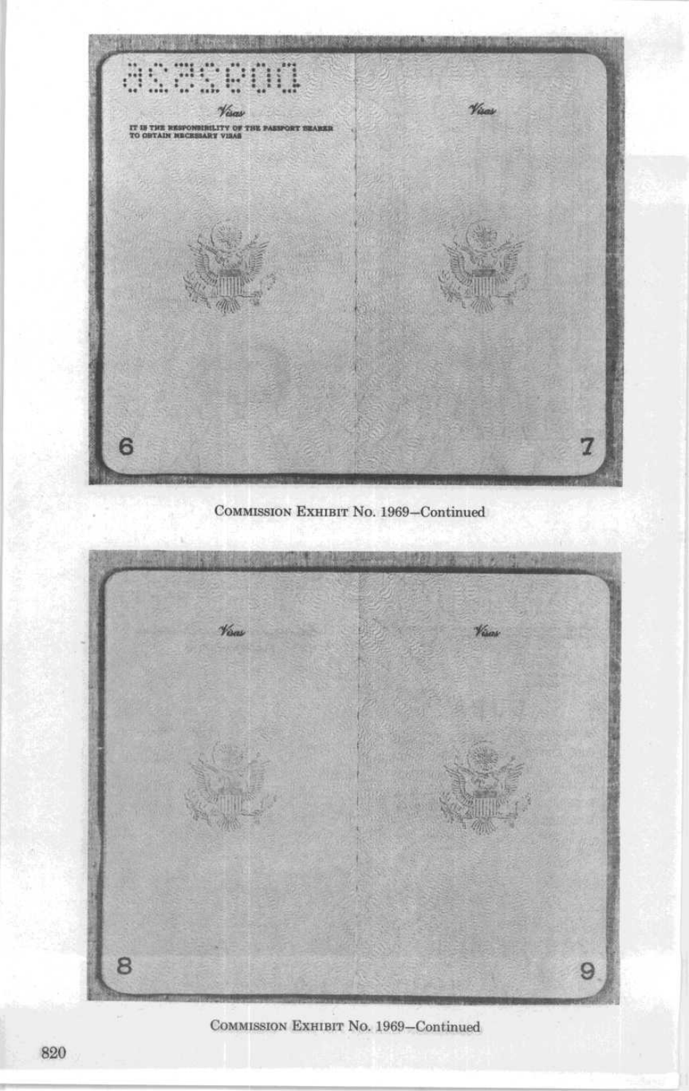

COMMISSION EXHIBIT No. 1969-Continued



COMMISSION EXHIBIT No. 1969-Continued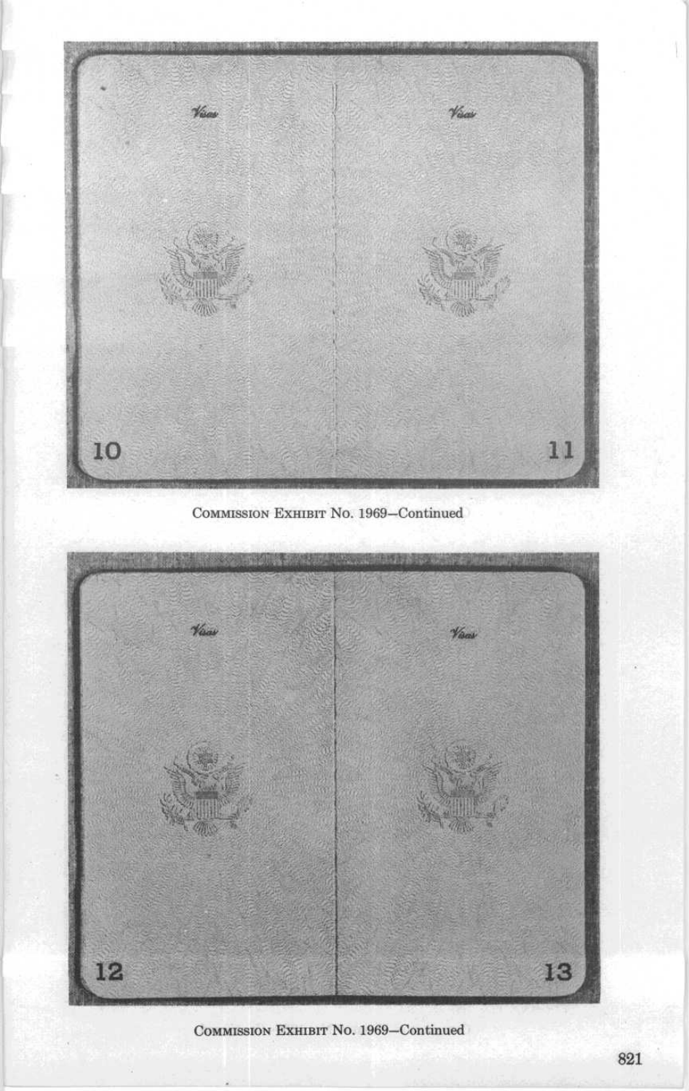

COMMISSION EXHIBIT NO. 1969-Continued



COMMISSION EXHIBIT NO. 1969-Continued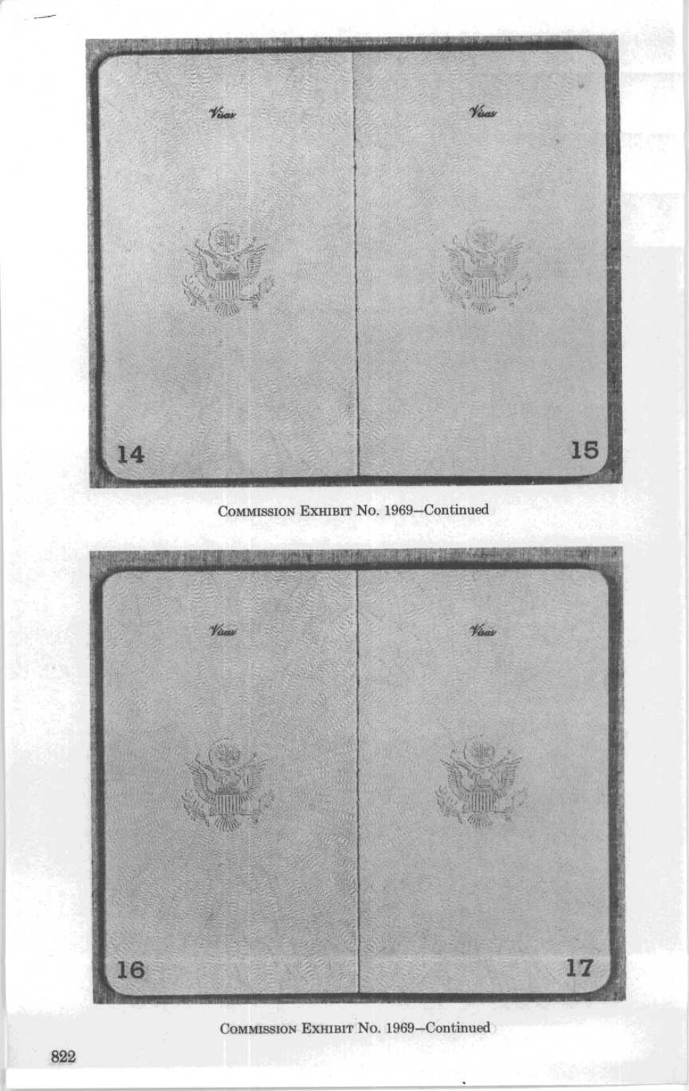

COMMISSION EXHIBIT No. 1969-Continued



COMMISSION EXHIBIT No. 1969-Continued